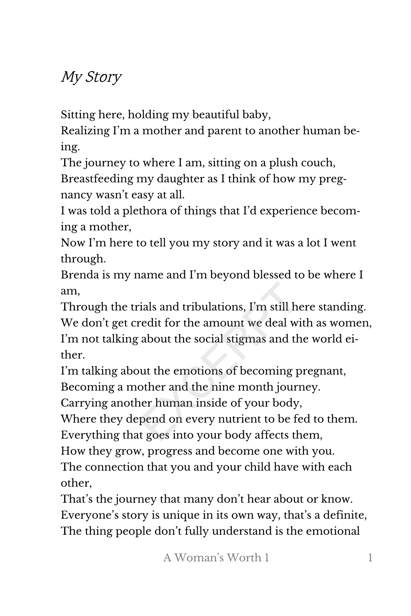## My Story

Sitting here, holding my beautiful baby,

Realizing I'm a mother and parent to another human be‐ ing.

The journey to where I am, sitting on a plush couch, Breastfeeding my daughter as I think of how my pregnancy wasn't easy at all.

I was told a plethora of things that I'd experience becom‐ ing a mother,

Now I'm here to tell you my story and it was a lot I went through.

Brenda is my name and I'm beyond blessed to be where I am,

Through the trials and tribulations, I'm still here standing. We don't get credit for the amount we deal with as women, I'm not talking about the social stigmas and the world ei‐ ther.

I'm talking about the emotions of becoming pregnant, Becoming a mother and the nine month journey.

Carrying another human inside of your body,

Where they depend on every nutrient to be fed to them. Everything that goes into your body affects them,

How they grow, progress and become one with you. The connection that you and your child have with each other,

That's the journey that many don't hear about or know. Everyone's story is unique in its own way, that's a definite, The thing people don't fully understand is the emotional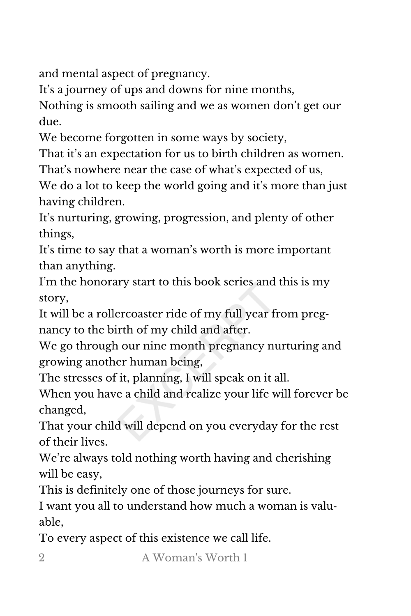and mental aspect of pregnancy.

It's a journey of ups and downs for nine months,

Nothing is smooth sailing and we as women don't get our due.

We become forgotten in some ways by society,

That it's an expectation for us to birth children as women.

That's nowhere near the case of what's expected of us,

We do a lot to keep the world going and it's more than just having children.

It's nurturing, growing, progression, and plenty of other things,

It's time to say that a woman's worth is more important than anything.

I'm the honorary start to this book series and this is my story,

It will be a rollercoaster ride of my full year from preg‐ nancy to the birth of my child and after.

We go through our nine month pregnancy nurturing and growing another human being,

The stresses of it, planning, I will speak on it all.

When you have a child and realize your life will forever be changed,

That your child will depend on you everyday for the rest of their lives.

We're always told nothing worth having and cherishing will be easy,

This is definitely one of those journeys for sure.

I want you all to understand how much a woman is valu‐ able,

To every aspect of this existence we call life.

2 A Woman's Worth 1